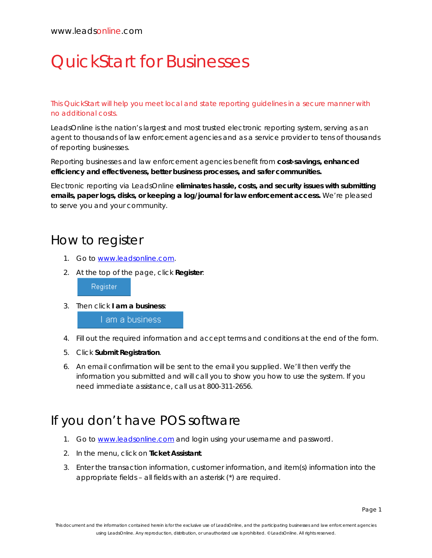# QuickStart for Businesses

This QuickStart will help you meet local and state reporting guidelines in a secure manner with no additional costs.

LeadsOnline is the nation's largest and most trusted electronic reporting system, serving as an agent to thousands of law enforcement agencies and as a service provider to tens of thousands of reporting businesses.

Reporting businesses and law enforcement agencies benefit from **cost-savings, enhanced efficiency and effectiveness, better business processes, and safer communities.**

Electronic reporting via LeadsOnline **eliminates hassle, costs, and security issues with submitting emails, paper logs, disks, or keeping a log/journal for law enforcement access.** We're pleased to serve you and your community.

### How to register

- 1. Go to [www.leadsonline.com.](http://www.leadsonline.com/)
- 2. At the top of the page, click **Register**:

Register

3. Then click **I am a business**:

I am a business

- 4. Fill out the required information and accept terms and conditions at the end of the form.
- 5. Click **Submit Registration**.
- 6. An email confirmation will be sent to the email you supplied. We'll then verify the information you submitted and will call you to show you how to use the system. If you need immediate assistance, call us at 800-311-2656.

### If you don't have POS software

- 1. Go to [www.leadsonline.com](http://www.leadsonline.com/) and login using your username and password.
- 2. In the menu, click on **Ticket Assistant**.
- 3. Enter the transaction information, customer information, and item(s) information into the appropriate fields – all fields with an asterisk (\*) are required.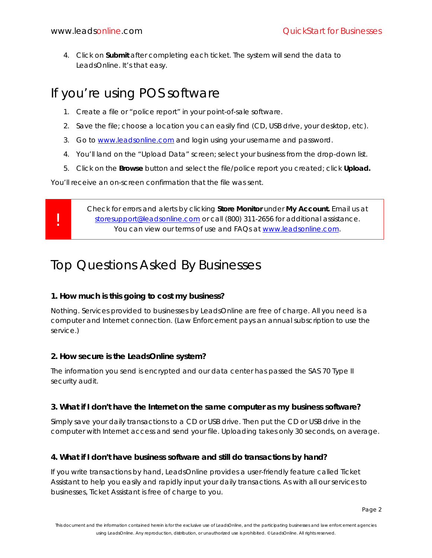!

4. Click on **Submit** after completing each ticket. The system will send the data to LeadsOnline. It's that easy.

### If you're using POS software

- 1. Create a file or "police report" in your point-of-sale software.
- 2. Save the file; choose a location you can easily find (CD, USB drive, your desktop, etc).
- 3. Go to [www.leadsonline.com](http://www.leadsonline.com/) and login using your username and password.
- 4. You'll land on the "Upload Data" screen; select your business from the drop-down list.
- 5. Click on the **Browse** button and select the file/police report you created; click **Upload.**

You'll receive an on-screen confirmation that the file was sent.

Check for errors and alerts by clicking **Store Monitor** under **My Account.** Email us at [storesupport@leadsonline.com](mailto:storesupport@leadsonline.com) or call (800) 311-2656 for additional assistance. You can view our terms of use and FAQs at [www.leadsonline.com.](http://www.leadsonline.com/)

## Top Questions Asked By Businesses

#### **1. How much is this going to cost my business?**

Nothing. Services provided to businesses by LeadsOnline are free of charge. All you need is a computer and Internet connection. (Law Enforcement pays an annual subscription to use the service.)

#### **2. How secure is the LeadsOnline system?**

The information you send is encrypted and our data center has passed the SAS 70 Type II security audit.

#### **3. What if I don't have the Internet on the same computer as my business software?**

Simply save your daily transactions to a CD or USB drive. Then put the CD or USB drive in the computer with Internet access and send your file. Uploading takes only 30 seconds, on average.

#### **4. What if I don't have business software and still do transactions by hand?**

If you write transactions by hand, LeadsOnline provides a user-friendly feature called Ticket Assistant to help you easily and rapidly input your daily transactions. As with all our services to businesses, Ticket Assistant is free of charge to you.